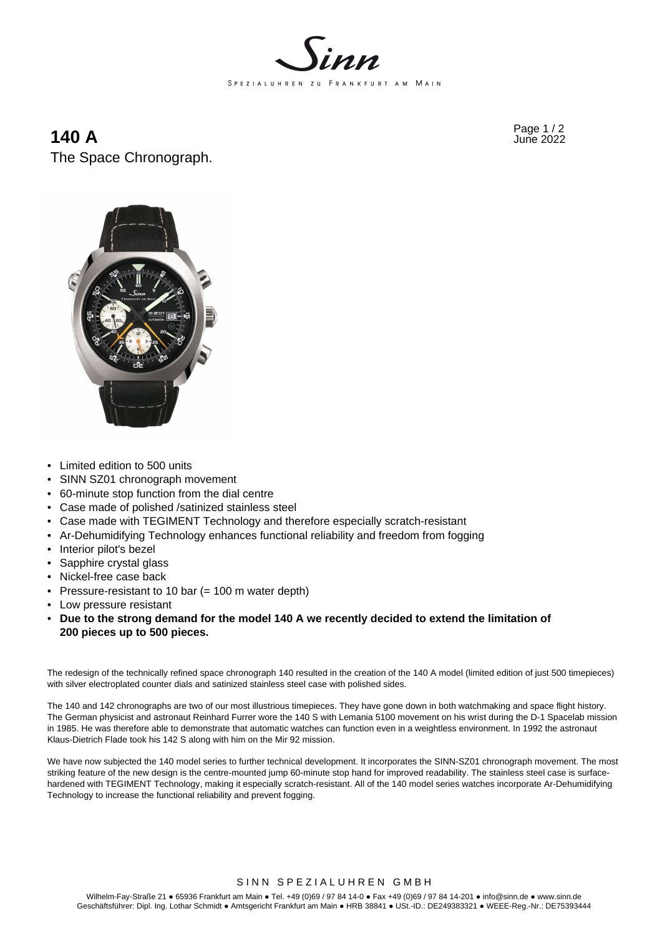

## **140 A** Page 1/2 **140 A** The Space Chronograph.



- Limited edition to 500 units
- SINN SZ01 chronograph movement
- 60-minute stop function from the dial centre
- Case made of polished /satinized stainless steel
- Case made with TEGIMENT Technology and therefore especially scratch-resistant
- Ar-Dehumidifying Technology enhances functional reliability and freedom from fogging
- Interior pilot's bezel
- Sapphire crystal glass
- Nickel-free case back
- Pressure-resistant to 10 bar (= 100 m water depth)
- Low pressure resistant
- **Due to the strong demand for the model 140 A we recently decided to extend the limitation of 200 pieces up to 500 pieces.**

The redesign of the technically refined space chronograph 140 resulted in the creation of the 140 A model (limited edition of just 500 timepieces) with silver electroplated counter dials and satinized stainless steel case with polished sides.

The 140 and 142 chronographs are two of our most illustrious timepieces. They have gone down in both watchmaking and space flight history. The German physicist and astronaut Reinhard Furrer wore the 140 S with Lemania 5100 movement on his wrist during the D-1 Spacelab mission in 1985. He was therefore able to demonstrate that automatic watches can function even in a weightless environment. In 1992 the astronaut Klaus-Dietrich Flade took his 142 S along with him on the Mir 92 mission.

We have now subjected the 140 model series to further technical development. It incorporates the SINN-SZ01 chronograph movement. The most striking feature of the new design is the centre-mounted jump 60-minute stop hand for improved readability. The stainless steel case is surfacehardened with TEGIMENT Technology, making it especially scratch-resistant. All of the 140 model series watches incorporate Ar-Dehumidifying Technology to increase the functional reliability and prevent fogging.

#### SINN SPEZIALUHREN GMBH